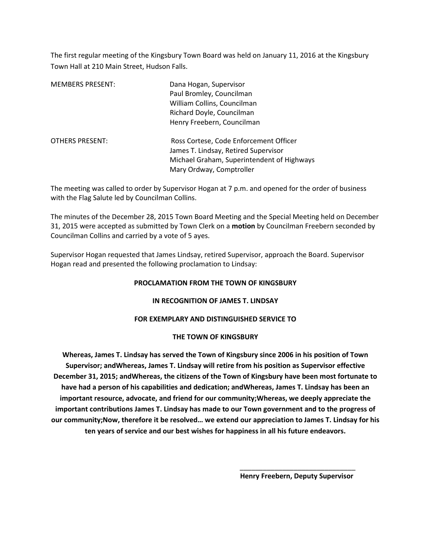The first regular meeting of the Kingsbury Town Board was held on January 11, 2016 at the Kingsbury Town Hall at 210 Main Street, Hudson Falls.

| <b>MEMBERS PRESENT:</b> | Dana Hogan, Supervisor<br>Paul Bromley, Councilman<br>William Collins, Councilman<br>Richard Doyle, Councilman<br>Henry Freebern, Councilman             |
|-------------------------|----------------------------------------------------------------------------------------------------------------------------------------------------------|
| <b>OTHERS PRESENT:</b>  | Ross Cortese, Code Enforcement Officer<br>James T. Lindsay, Retired Supervisor<br>Michael Graham, Superintendent of Highways<br>Mary Ordway, Comptroller |

The meeting was called to order by Supervisor Hogan at 7 p.m. and opened for the order of business with the Flag Salute led by Councilman Collins.

The minutes of the December 28, 2015 Town Board Meeting and the Special Meeting held on December 31, 2015 were accepted as submitted by Town Clerk on a **motion** by Councilman Freebern seconded by Councilman Collins and carried by a vote of 5 ayes.

Supervisor Hogan requested that James Lindsay, retired Supervisor, approach the Board. Supervisor Hogan read and presented the following proclamation to Lindsay:

#### **PROCLAMATION FROM THE TOWN OF KINGSBURY**

#### **IN RECOGNITION OF JAMES T. LINDSAY**

## **FOR EXEMPLARY AND DISTINGUISHED SERVICE TO**

## **THE TOWN OF KINGSBURY**

**Whereas, James T. Lindsay has served the Town of Kingsbury since 2006 in his position of Town Supervisor; andWhereas, James T. Lindsay will retire from his position as Supervisor effective December 31, 2015; andWhereas, the citizens of the Town of Kingsbury have been most fortunate to have had a person of his capabilities and dedication; andWhereas, James T. Lindsay has been an important resource, advocate, and friend for our community;Whereas, we deeply appreciate the important contributions James T. Lindsay has made to our Town government and to the progress of our community;Now, therefore it be resolved… we extend our appreciation to James T. Lindsay for his ten years of service and our best wishes for happiness in all his future endeavors.** 

 $\frac{1}{\sqrt{2}}$  ,  $\frac{1}{\sqrt{2}}$  ,  $\frac{1}{\sqrt{2}}$  ,  $\frac{1}{\sqrt{2}}$  ,  $\frac{1}{\sqrt{2}}$  ,  $\frac{1}{\sqrt{2}}$  ,  $\frac{1}{\sqrt{2}}$  ,  $\frac{1}{\sqrt{2}}$  ,  $\frac{1}{\sqrt{2}}$  ,  $\frac{1}{\sqrt{2}}$  ,  $\frac{1}{\sqrt{2}}$  ,  $\frac{1}{\sqrt{2}}$  ,  $\frac{1}{\sqrt{2}}$  ,  $\frac{1}{\sqrt{2}}$  ,  $\frac{1}{\sqrt{2}}$ 

 **Henry Freebern, Deputy Supervisor**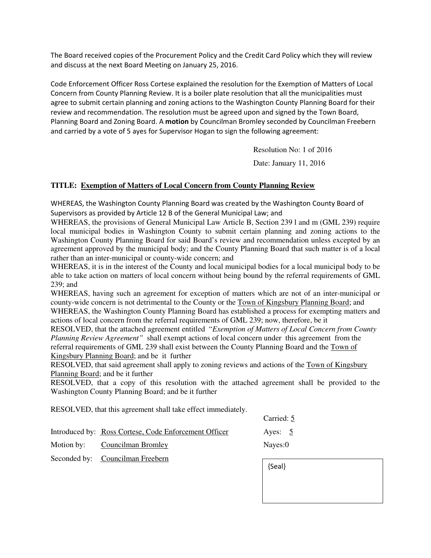The Board received copies of the Procurement Policy and the Credit Card Policy which they will review and discuss at the next Board Meeting on January 25, 2016.

Code Enforcement Officer Ross Cortese explained the resolution for the Exemption of Matters of Local Concern from County Planning Review. It is a boiler plate resolution that all the municipalities must agree to submit certain planning and zoning actions to the Washington County Planning Board for their review and recommendation. The resolution must be agreed upon and signed by the Town Board, Planning Board and Zoning Board. A **motion** by Councilman Bromley seconded by Councilman Freebern and carried by a vote of 5 ayes for Supervisor Hogan to sign the following agreement:

Resolution No: 1 of 2016

Date: January 11, 2016

# **TITLE: Exemption of Matters of Local Concern from County Planning Review**

WHEREAS, the Washington County Planning Board was created by the Washington County Board of Supervisors as provided by Article 12 B of the General Municipal Law; and

WHEREAS, the provisions of General Municipal Law Article B, Section 239 l and m (GML 239) require local municipal bodies in Washington County to submit certain planning and zoning actions to the Washington County Planning Board for said Board's review and recommendation unless excepted by an agreement approved by the municipal body; and the County Planning Board that such matter is of a local rather than an inter-municipal or county-wide concern; and

WHEREAS, it is in the interest of the County and local municipal bodies for a local municipal body to be able to take action on matters of local concern without being bound by the referral requirements of GML 239; and

WHEREAS, having such an agreement for exception of matters which are not of an inter-municipal or county-wide concern is not detrimental to the County or the Town of Kingsbury Planning Board; and WHEREAS, the Washington County Planning Board has established a process for exempting matters and

actions of local concern from the referral requirements of GML 239; now, therefore, be it

RESOLVED, that the attached agreement entitled "*Exemption of Matters of Local Concern from County Planning Review Agreement"* shall exempt actions of local concern under this agreement from the referral requirements of GML 239 shall exist between the County Planning Board and the Town of Kingsbury Planning Board; and be it further

RESOLVED, that said agreement shall apply to zoning reviews and actions of the Town of Kingsbury Planning Board; and be it further

RESOLVED, that a copy of this resolution with the attached agreement shall be provided to the Washington County Planning Board; and be it further

RESOLVED, that this agreement shall take effect immediately.

|                                                       | $\mathsf{r}$        |  |
|-------------------------------------------------------|---------------------|--|
| Introduced by: Ross Cortese, Code Enforcement Officer | Ayes: $\frac{5}{2}$ |  |
| Motion by: Councilman Bromley                         | Nayes:0             |  |
| Seconded by: Councilman Freebern                      |                     |  |

| {Seal} |  |  |
|--------|--|--|
|        |  |  |
|        |  |  |

Carried: 5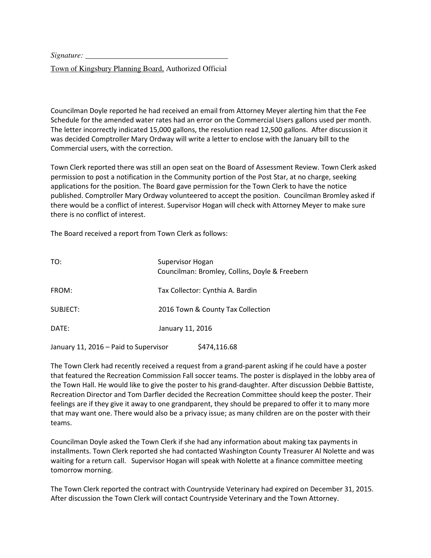*Signature:* 

Town of Kingsbury Planning Board, Authorized Official

Councilman Doyle reported he had received an email from Attorney Meyer alerting him that the Fee Schedule for the amended water rates had an error on the Commercial Users gallons used per month. The letter incorrectly indicated 15,000 gallons, the resolution read 12,500 gallons. After discussion it was decided Comptroller Mary Ordway will write a letter to enclose with the January bill to the Commercial users, with the correction.

Town Clerk reported there was still an open seat on the Board of Assessment Review. Town Clerk asked permission to post a notification in the Community portion of the Post Star, at no charge, seeking applications for the position. The Board gave permission for the Town Clerk to have the notice published. Comptroller Mary Ordway volunteered to accept the position. Councilman Bromley asked if there would be a conflict of interest. Supervisor Hogan will check with Attorney Meyer to make sure there is no conflict of interest.

The Board received a report from Town Clerk as follows:

| TO:      | Supervisor Hogan<br>Councilman: Bromley, Collins, Doyle & Freebern |
|----------|--------------------------------------------------------------------|
| FROM:    | Tax Collector: Cynthia A. Bardin                                   |
| SUBJECT: | 2016 Town & County Tax Collection                                  |
| DATF:    | January 11, 2016                                                   |
|          |                                                                    |

January 11, 2016 – Paid to Supervisor  $$474,116.68$ 

The Town Clerk had recently received a request from a grand-parent asking if he could have a poster that featured the Recreation Commission Fall soccer teams. The poster is displayed in the lobby area of the Town Hall. He would like to give the poster to his grand-daughter. After discussion Debbie Battiste, Recreation Director and Tom Darfler decided the Recreation Committee should keep the poster. Their feelings are if they give it away to one grandparent, they should be prepared to offer it to many more that may want one. There would also be a privacy issue; as many children are on the poster with their teams.

Councilman Doyle asked the Town Clerk if she had any information about making tax payments in installments. Town Clerk reported she had contacted Washington County Treasurer Al Nolette and was waiting for a return call. Supervisor Hogan will speak with Nolette at a finance committee meeting tomorrow morning.

The Town Clerk reported the contract with Countryside Veterinary had expired on December 31, 2015. After discussion the Town Clerk will contact Countryside Veterinary and the Town Attorney.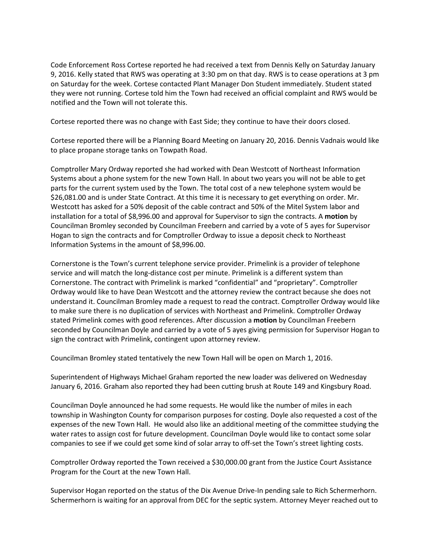Code Enforcement Ross Cortese reported he had received a text from Dennis Kelly on Saturday January 9, 2016. Kelly stated that RWS was operating at 3:30 pm on that day. RWS is to cease operations at 3 pm on Saturday for the week. Cortese contacted Plant Manager Don Student immediately. Student stated they were not running. Cortese told him the Town had received an official complaint and RWS would be notified and the Town will not tolerate this.

Cortese reported there was no change with East Side; they continue to have their doors closed.

Cortese reported there will be a Planning Board Meeting on January 20, 2016. Dennis Vadnais would like to place propane storage tanks on Towpath Road.

Comptroller Mary Ordway reported she had worked with Dean Westcott of Northeast Information Systems about a phone system for the new Town Hall. In about two years you will not be able to get parts for the current system used by the Town. The total cost of a new telephone system would be \$26,081.00 and is under State Contract. At this time it is necessary to get everything on order. Mr. Westcott has asked for a 50% deposit of the cable contract and 50% of the Mitel System labor and installation for a total of \$8,996.00 and approval for Supervisor to sign the contracts. A **motion** by Councilman Bromley seconded by Councilman Freebern and carried by a vote of 5 ayes for Supervisor Hogan to sign the contracts and for Comptroller Ordway to issue a deposit check to Northeast Information Systems in the amount of \$8,996.00.

Cornerstone is the Town's current telephone service provider. Primelink is a provider of telephone service and will match the long-distance cost per minute. Primelink is a different system than Cornerstone. The contract with Primelink is marked "confidential" and "proprietary". Comptroller Ordway would like to have Dean Westcott and the attorney review the contract because she does not understand it. Councilman Bromley made a request to read the contract. Comptroller Ordway would like to make sure there is no duplication of services with Northeast and Primelink. Comptroller Ordway stated Primelink comes with good references. After discussion a **motion** by Councilman Freebern seconded by Councilman Doyle and carried by a vote of 5 ayes giving permission for Supervisor Hogan to sign the contract with Primelink, contingent upon attorney review.

Councilman Bromley stated tentatively the new Town Hall will be open on March 1, 2016.

Superintendent of Highways Michael Graham reported the new loader was delivered on Wednesday January 6, 2016. Graham also reported they had been cutting brush at Route 149 and Kingsbury Road.

Councilman Doyle announced he had some requests. He would like the number of miles in each township in Washington County for comparison purposes for costing. Doyle also requested a cost of the expenses of the new Town Hall. He would also like an additional meeting of the committee studying the water rates to assign cost for future development. Councilman Doyle would like to contact some solar companies to see if we could get some kind of solar array to off-set the Town's street lighting costs.

Comptroller Ordway reported the Town received a \$30,000.00 grant from the Justice Court Assistance Program for the Court at the new Town Hall.

Supervisor Hogan reported on the status of the Dix Avenue Drive-In pending sale to Rich Schermerhorn. Schermerhorn is waiting for an approval from DEC for the septic system. Attorney Meyer reached out to